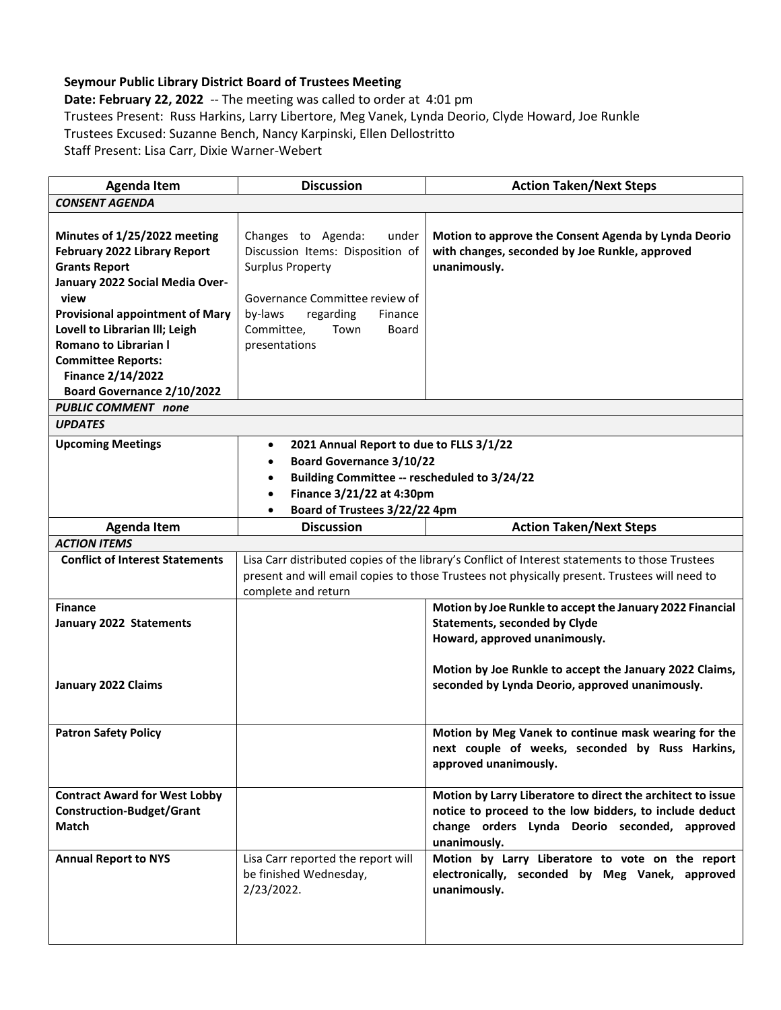## **Seymour Public Library District Board of Trustees Meeting**

**Date: February 22, 2022** -- The meeting was called to order at 4:01 pm Trustees Present: Russ Harkins, Larry Libertore, Meg Vanek, Lynda Deorio, Clyde Howard, Joe Runkle Trustees Excused: Suzanne Bench, Nancy Karpinski, Ellen Dellostritto Staff Present: Lisa Carr, Dixie Warner-Webert

| <b>Agenda Item</b>                                      | <b>Discussion</b>                                                     | <b>Action Taken/Next Steps</b>                                                                                                                                                                   |
|---------------------------------------------------------|-----------------------------------------------------------------------|--------------------------------------------------------------------------------------------------------------------------------------------------------------------------------------------------|
| <b>CONSENT AGENDA</b>                                   |                                                                       |                                                                                                                                                                                                  |
| Minutes of 1/25/2022 meeting                            | Changes to Agenda:<br>under                                           | Motion to approve the Consent Agenda by Lynda Deorio                                                                                                                                             |
| February 2022 Library Report                            | Discussion Items: Disposition of                                      | with changes, seconded by Joe Runkle, approved                                                                                                                                                   |
| <b>Grants Report</b>                                    | <b>Surplus Property</b>                                               | unanimously.                                                                                                                                                                                     |
| January 2022 Social Media Over-                         |                                                                       |                                                                                                                                                                                                  |
| view                                                    | Governance Committee review of                                        |                                                                                                                                                                                                  |
| <b>Provisional appointment of Mary</b>                  | by-laws<br>regarding<br>Finance<br>Committee,<br>Town<br><b>Board</b> |                                                                                                                                                                                                  |
| Lovell to Librarian III; Leigh<br>Romano to Librarian I | presentations                                                         |                                                                                                                                                                                                  |
| <b>Committee Reports:</b>                               |                                                                       |                                                                                                                                                                                                  |
| <b>Finance 2/14/2022</b>                                |                                                                       |                                                                                                                                                                                                  |
| Board Governance 2/10/2022                              |                                                                       |                                                                                                                                                                                                  |
| <b>PUBLIC COMMENT</b> none                              |                                                                       |                                                                                                                                                                                                  |
| <b>UPDATES</b>                                          |                                                                       |                                                                                                                                                                                                  |
| <b>Upcoming Meetings</b>                                | 2021 Annual Report to due to FLLS 3/1/22<br>$\bullet$                 |                                                                                                                                                                                                  |
|                                                         | <b>Board Governance 3/10/22</b><br>$\bullet$                          |                                                                                                                                                                                                  |
|                                                         | Building Committee -- rescheduled to 3/24/22                          |                                                                                                                                                                                                  |
|                                                         | Finance 3/21/22 at 4:30pm                                             |                                                                                                                                                                                                  |
|                                                         | Board of Trustees 3/22/22 4pm                                         |                                                                                                                                                                                                  |
| <b>Agenda Item</b>                                      | <b>Discussion</b>                                                     | <b>Action Taken/Next Steps</b>                                                                                                                                                                   |
| <b>ACTION ITEMS</b>                                     |                                                                       |                                                                                                                                                                                                  |
| <b>Conflict of Interest Statements</b>                  | complete and return                                                   | Lisa Carr distributed copies of the library's Conflict of Interest statements to those Trustees<br>present and will email copies to those Trustees not physically present. Trustees will need to |
| <b>Finance</b>                                          |                                                                       | Motion by Joe Runkle to accept the January 2022 Financial                                                                                                                                        |
| January 2022 Statements                                 |                                                                       | <b>Statements, seconded by Clyde</b>                                                                                                                                                             |
|                                                         |                                                                       | Howard, approved unanimously.                                                                                                                                                                    |
|                                                         |                                                                       | Motion by Joe Runkle to accept the January 2022 Claims,                                                                                                                                          |
| January 2022 Claims                                     |                                                                       | seconded by Lynda Deorio, approved unanimously.                                                                                                                                                  |
|                                                         |                                                                       |                                                                                                                                                                                                  |
| <b>Patron Safety Policy</b>                             |                                                                       | Motion by Meg Vanek to continue mask wearing for the<br>next couple of weeks, seconded by Russ Harkins,                                                                                          |
|                                                         |                                                                       | approved unanimously.                                                                                                                                                                            |
| <b>Contract Award for West Lobby</b>                    |                                                                       | Motion by Larry Liberatore to direct the architect to issue                                                                                                                                      |
| <b>Construction-Budget/Grant</b>                        |                                                                       | notice to proceed to the low bidders, to include deduct                                                                                                                                          |
| Match                                                   |                                                                       | change orders Lynda Deorio seconded, approved<br>unanimously.                                                                                                                                    |
| <b>Annual Report to NYS</b>                             | Lisa Carr reported the report will                                    | Motion by Larry Liberatore to vote on the report                                                                                                                                                 |
|                                                         | be finished Wednesday,                                                | electronically, seconded by Meg Vanek, approved                                                                                                                                                  |
|                                                         | 2/23/2022.                                                            | unanimously.                                                                                                                                                                                     |
|                                                         |                                                                       |                                                                                                                                                                                                  |
|                                                         |                                                                       |                                                                                                                                                                                                  |